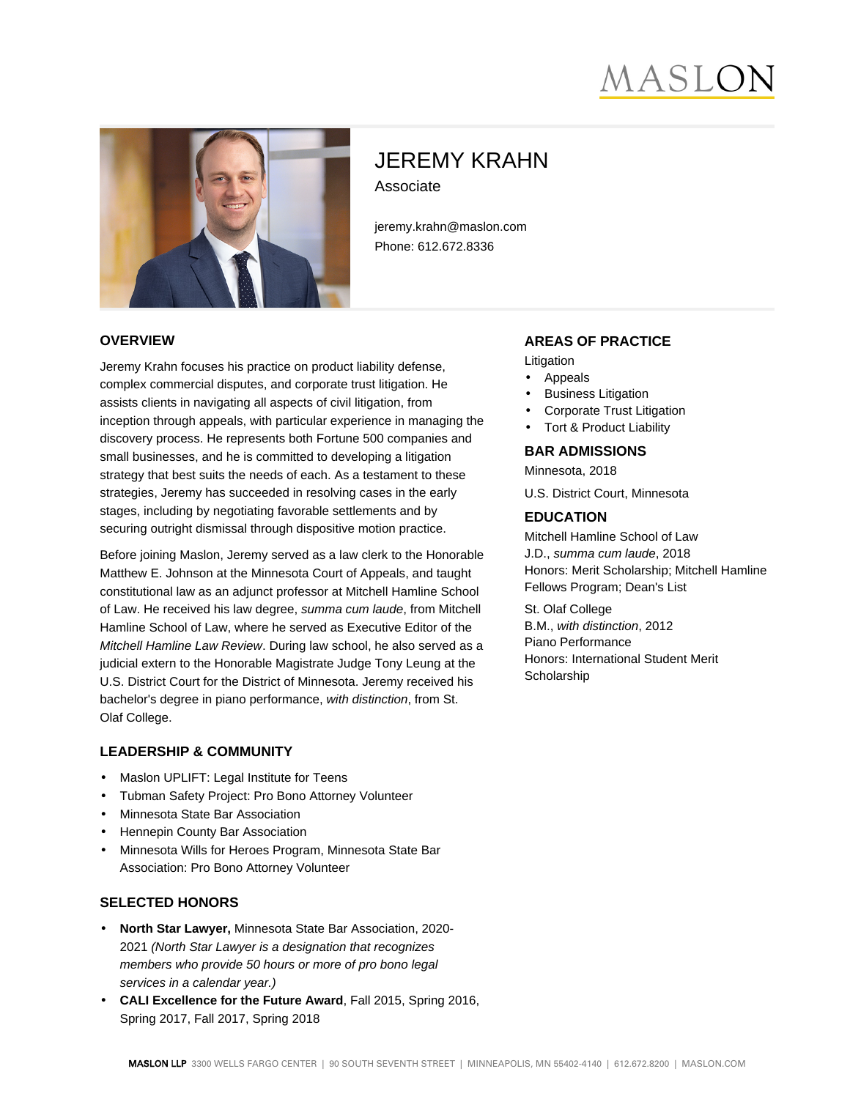# IASLC



## JEREMY KRAHN Associate

jeremy.krahn@maslon.com Phone: 612.672.8336

#### **OVERVIEW**

Jeremy Krahn focuses his practice on product liability defense, complex commercial disputes, and corporate trust litigation. He assists clients in navigating all aspects of civil litigation, from inception through appeals, with particular experience in managing the discovery process. He represents both Fortune 500 companies and small businesses, and he is committed to developing a litigation strategy that best suits the needs of each. As a testament to these strategies, Jeremy has succeeded in resolving cases in the early stages, including by negotiating favorable settlements and by securing outright dismissal through dispositive motion practice.

Before joining Maslon, Jeremy served as a law clerk to the Honorable Matthew E. Johnson at the Minnesota Court of Appeals, and taught constitutional law as an adjunct professor at Mitchell Hamline School of Law. He received his law degree, summa cum laude, from Mitchell Hamline School of Law, where he served as Executive Editor of the Mitchell Hamline Law Review. During law school, he also served as a judicial extern to the Honorable Magistrate Judge Tony Leung at the U.S. District Court for the District of Minnesota. Jeremy received his bachelor's degree in piano performance, with distinction, from St. Olaf College.

#### **LEADERSHIP & COMMUNITY**

- Maslon UPLIFT: Legal Institute for Teens
- Tubman Safety Project: Pro Bono Attorney Volunteer
- Minnesota State Bar Association
- Hennepin County Bar Association
- Minnesota Wills for Heroes Program, Minnesota State Bar Association: Pro Bono Attorney Volunteer

#### **SELECTED HONORS**

- **North Star Lawyer,** Minnesota State Bar Association, 2020- 2021 (North Star Lawyer is a designation that recognizes members who provide 50 hours or more of pro bono legal services in a calendar year.)
- **CALI Excellence for the Future Award**, Fall 2015, Spring 2016, Spring 2017, Fall 2017, Spring 2018

#### **AREAS OF PRACTICE**

Litigation

- Appeals
- **Business Litigation**
- Corporate Trust Litigation
- Tort & Product Liability

#### **BAR ADMISSIONS**

Minnesota, 2018

U.S. District Court, Minnesota

#### **EDUCATION**

Mitchell Hamline School of Law J.D., summa cum laude, 2018 Honors: Merit Scholarship; Mitchell Hamline Fellows Program; Dean's List

St. Olaf College B.M., with distinction, 2012 Piano Performance Honors: International Student Merit **Scholarship**